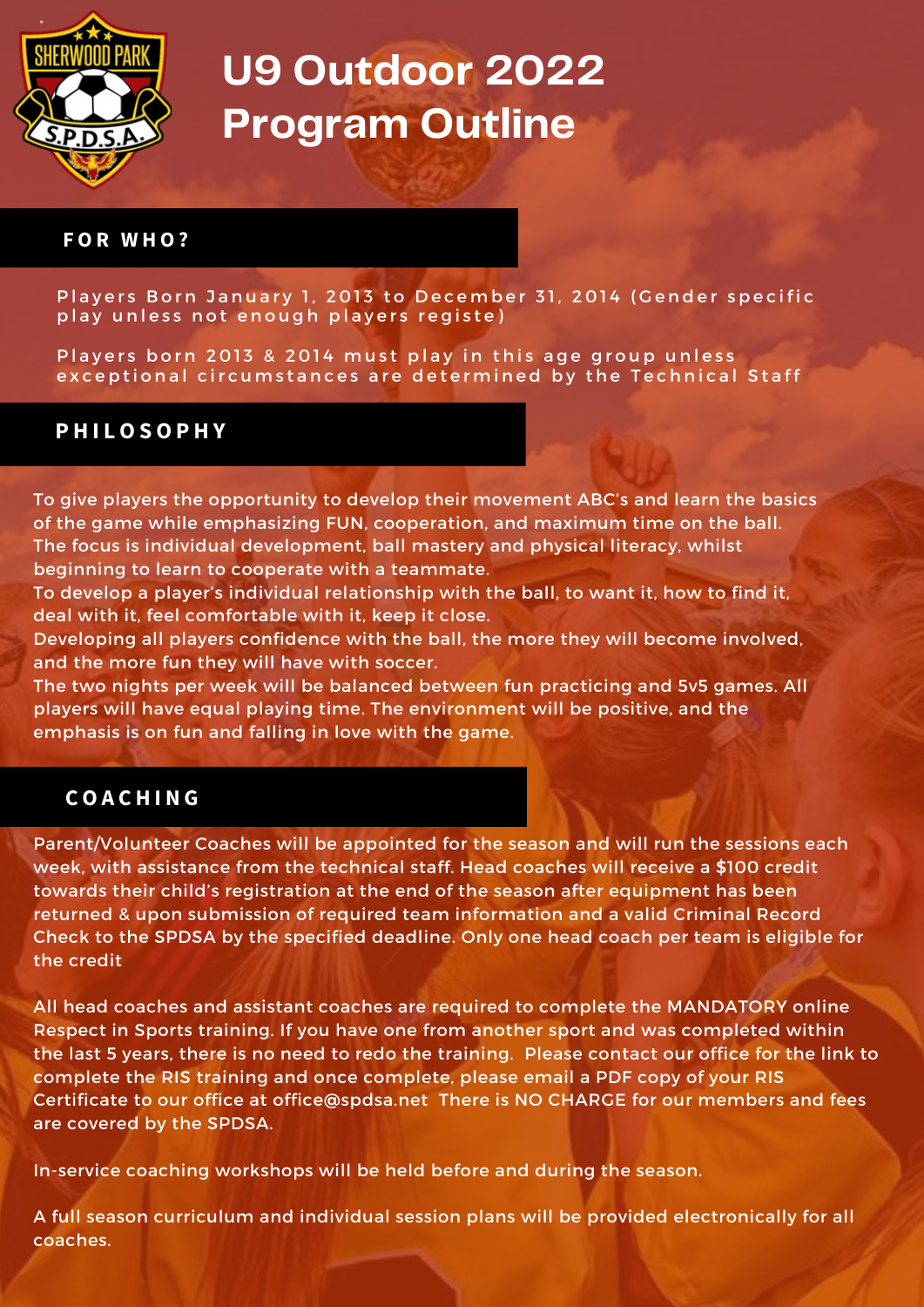

#### **F O R W H O ?**

Players Born January 1, 2013 to December 31, 2014 (Gender specific play unless not enough players registe)

Players born 2013 & 2014 must play in this age group unless exceptional circumstances are determined by the Technical Staff

#### **P H I L O S O P H Y**

To give players the opportunity to develop their movement ABC's and learn the basics of the game while emphasizing FUN, cooperation, and maximum time on the ball. The focus is individual development, ball mastery and physical literacy, whilst beginning to learn to cooperate with a teammate.

To develop a player's individual relationship with the ball, to want it, how to find it, deal with it, feel comfortable with it, keep it close.

Developing all players confidence with the ball, the more they will become involved, and the more fun they will have with soccer.

The two nights per week will be balanced between fun practicing and 5v5 games. All players will have equal playing time. The environment will be positive, and the emphasis is on fun and falling in love with the game.

#### **C O A C H I N G**

Parent/Volunteer Coaches will be appointed for the season and will run the sessions each week, with assistance from the technical staff. Head coaches will receive a \$100 credit towards their child's registration at the end of the season after equipment has been returned & upon submission of required team information and a valid Criminal Record Check to the SPDSA by the specified deadline. Only one head coach per team is eligible for the credit

All head coaches and assistant coaches are required to complete the MANDATORY online Respect in Sports training. If you have one from another sport and was completed within the last 5 years, there is no need to redo the training. Please contact our office for the link to complete the RIS training and once complete, please email a PDF copy of your RIS Certificate to our office at [office@spdsa.net](mailto:office@spdsa.net) There is NO CHARGE for our members and fees are covered by the SPDSA.

In-service coaching workshops will be held before and during the season.

A full season curriculum and individual session plans will be provided electronically for all coaches.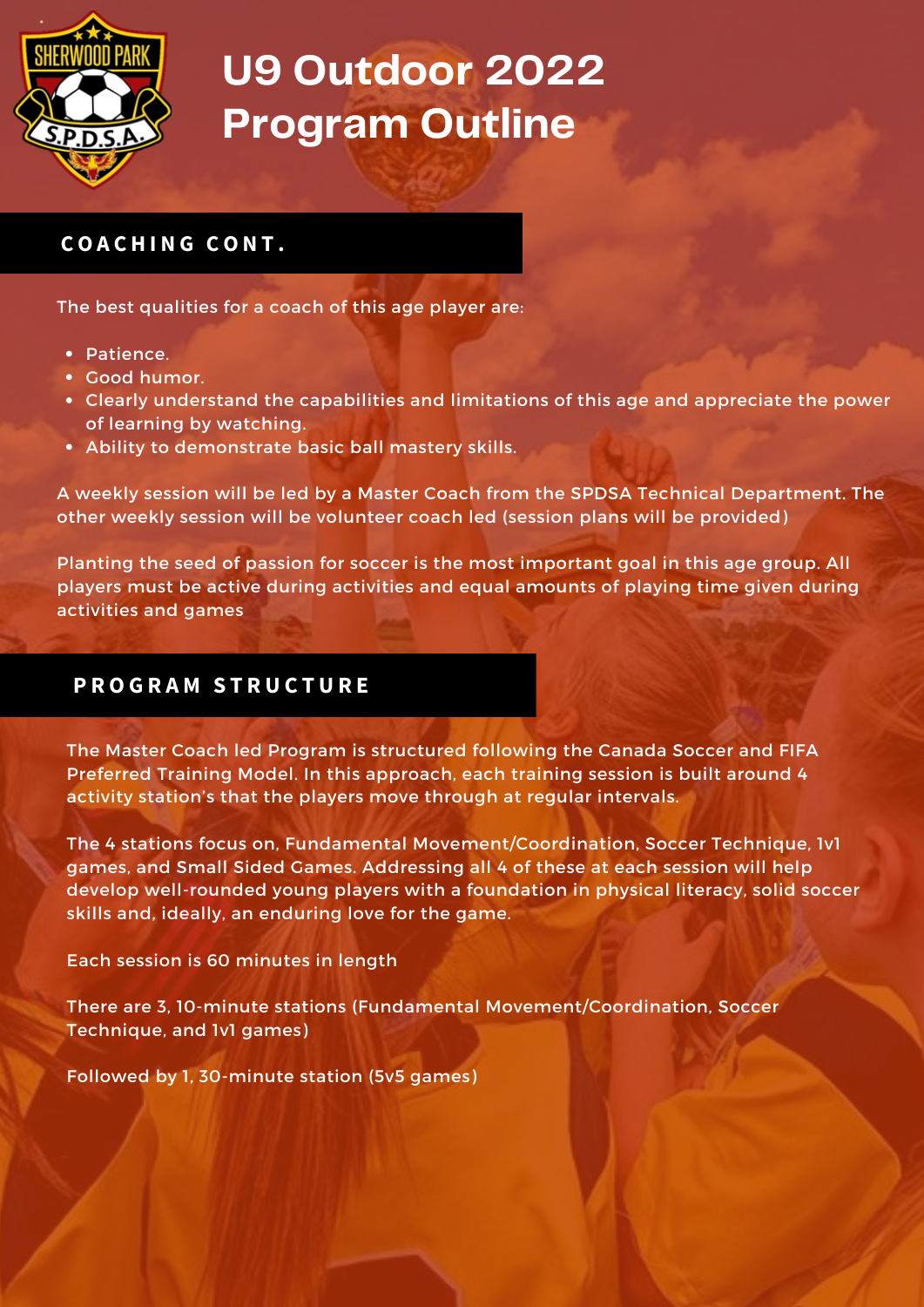

## **C O A C H I N G C O N T .**

The best qualities for a coach of this age player are:

- Patience.
- Good humor.
- Clearly understand the capabilities and limitations of this age and appreciate the power of learning by watching.
- Ability to demonstrate basic ball mastery skills.

A weekly session will be led by a Master Coach from the SPDSA Technical Department. The other weekly session will be volunteer coach led (session plans will be provided)

Planting the seed of passion for soccer is the most important goal in this age group. All players must be active during activities and equal amounts of playing time given during activities and games

### **P R O G R A M S T R U C T U R E**

The Master Coach led Program is structured following the Canada Soccer and FIFA Preferred Training Model. In this approach, each training session is built around 4 activity station's that the players move through at regular intervals.

The 4 stations focus on, Fundamental Movement/Coordination, Soccer Technique, 1v1 games, and Small Sided Games. Addressing all 4 of these at each session will help develop well-rounded young players with a foundation in physical literacy, solid soccer skills and, ideally, an enduring love for the game.

Each session is 60 minutes in length

There are 3, 10-minute stations (Fundamental Movement/Coordination, Soccer Technique, and 1v1 games)

Followed by 1, 30-minute station (5v5 games)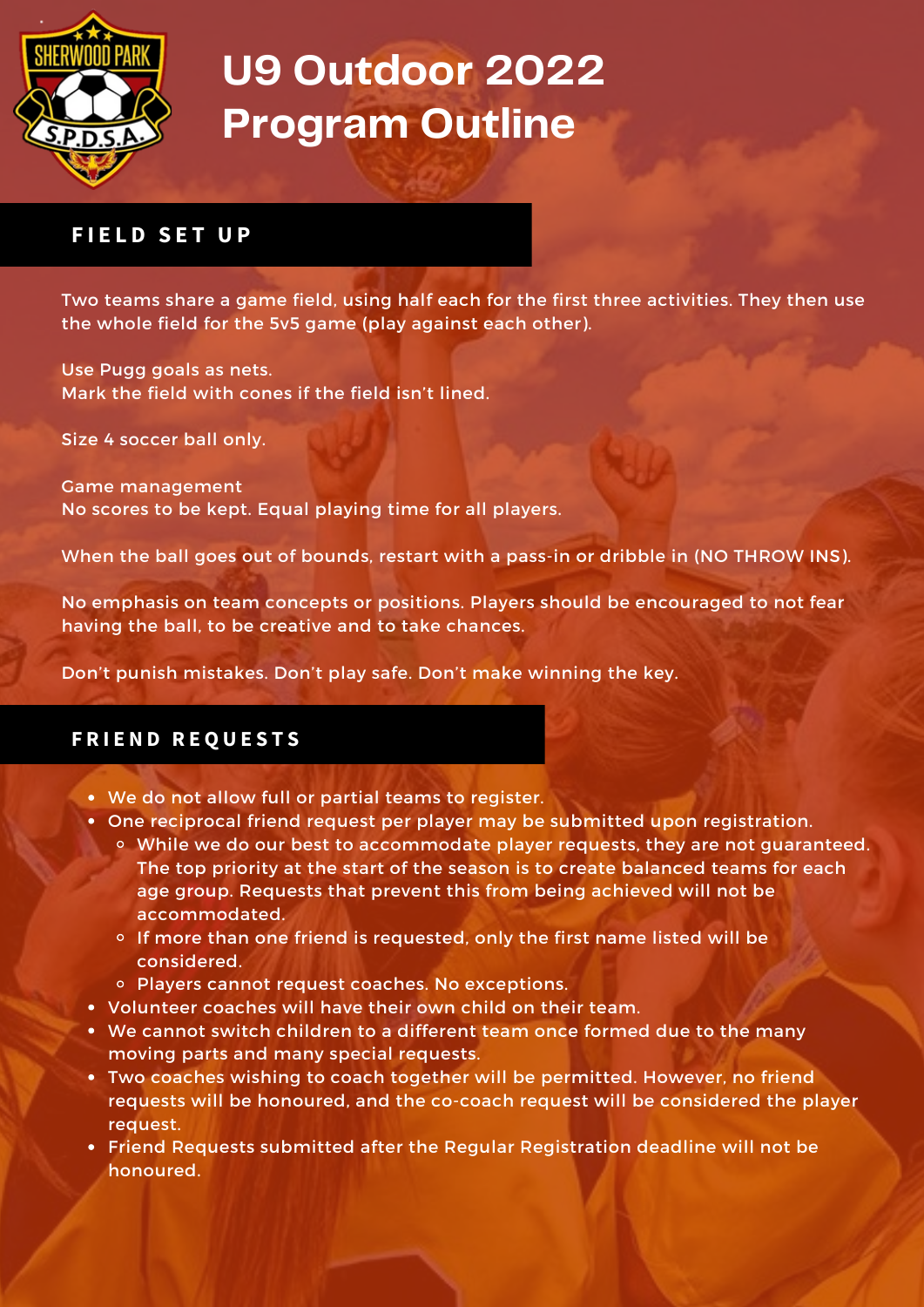

### $F$ **IELD SET UP**

Two teams share a game field, using half each for the first three activities. They then use the whole field for the 5v5 game (play against each other).

Use Pugg goals as nets. Mark the field with cones if the field isn't lined.

Size 4 soccer ball only.

Game management No scores to be kept. Equal playing time for all players.

When the ball goes out of bounds, restart with a pass-in or dribble in (NO THROW INS).

No emphasis on team concepts or positions. Players should be encouraged to not fear having the ball, to be creative and to take chances.

Don't punish mistakes. Don't play safe. Don't make winning the key.

### **F R I E N D R E Q U E S T S**

- We do not allow full or partial teams to register.
- One reciprocal friend request per player may be submitted upon registration.
	- While we do our best to accommodate player requests, they are not guaranteed. The top priority at the start of the season is to create balanced teams for each age group. Requests that prevent this from being achieved will not be accommodated.
	- <sup>o</sup> If more than one friend is requested, only the first name listed will be considered.
	- Players cannot request coaches. No exceptions.
- Volunteer coaches will have their own child on their team.
- We cannot switch children to a different team once formed due to the many moving parts and many special requests.
- Two coaches wishing to coach together will be permitted. However, no friend requests will be honoured, and the co-coach request will be considered the player request.
- Friend Requests submitted after the Regular Registration deadline will not be honoured.